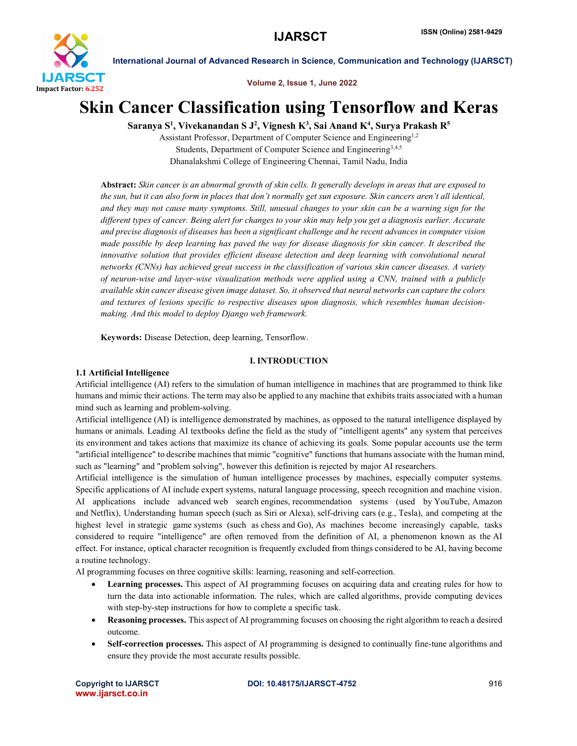

Volume 2, Issue 1, June 2022

# Skin Cancer Classification using Tensorflow and Keras

Saranya S<sup>1</sup>, Vivekanandan S J<sup>2</sup>, Vignesh K<sup>3</sup>, Sai Anand K<sup>4</sup>, Surya Prakash R<sup>5</sup>

Assistant Professor, Department of Computer Science and Engineering1,2 Students, Department of Computer Science and Engineering<sup>3,4,5</sup> Dhanalakshmi College of Engineering Chennai, Tamil Nadu, India

Abstract: *Skin cancer is an abnormal growth of skin cells. It generally develops in areas that are exposed to the sun, but it can also form in places that don't normally get sun exposure. Skin cancers aren't all identical, and they may not cause many symptoms. Still, unusual changes to your skin can be a warning sign for the different types of cancer. Being alert for changes to your skin may help you get a diagnosis earlier. Accurate and precise diagnosis of diseases has been a significant challenge and he recent advances in computer vision made possible by deep learning has paved the way for disease diagnosis for skin cancer. It described the innovative solution that provides efficient disease detection and deep learning with convolutional neural networks (CNNs) has achieved great success in the classification of various skin cancer diseases. A variety of neuron-wise and layer-wise visualization methods were applied using a CNN, trained with a publicly available skin cancer disease given image dataset. So, it observed that neural networks can capture the colors and textures of lesions specific to respective diseases upon diagnosis, which resembles human decisionmaking. And this model to deploy Django web framework.*

Keywords: Disease Detection, deep learning, Tensorflow.

#### I. INTRODUCTION

#### 1.1 Artificial Intelligence

Artificial intelligence (AI) refers to the simulation of human intelligence in machines that are programmed to think like humans and mimic their actions. The term may also be applied to any machine that exhibits traits associated with a human mind such as learning and problem-solving.

Artificial intelligence (AI) is intelligence demonstrated by machines, as opposed to the natural intelligence displayed by humans or animals. Leading AI textbooks define the field as the study of "intelligent agents" any system that perceives its environment and takes actions that maximize its chance of achieving its goals. Some popular accounts use the term "artificial intelligence" to describe machines that mimic "cognitive" functions that humans associate with the human mind, such as "learning" and "problem solving", however this definition is rejected by major AI researchers.

Artificial intelligence is the simulation of human intelligence processes by machines, especially computer systems. Specific applications of AI include expert systems, natural language processing, speech recognition and machine vision. AI applications include advanced web search engines, recommendation systems (used by YouTube, Amazon and Netflix), Understanding human speech (such as Siri or Alexa), self-driving cars (e.g., Tesla), and competing at the highest level in strategic game systems (such as chess and Go), As machines become increasingly capable, tasks considered to require "intelligence" are often removed from the definition of AI, a phenomenon known as the AI effect. For instance, optical character recognition is frequently excluded from things considered to be AI, having become a routine technology.

AI programming focuses on three cognitive skills: learning, reasoning and self-correction.

- Learning processes. This aspect of AI programming focuses on acquiring data and creating rules for how to turn the data into actionable information. The rules, which are called algorithms, provide computing devices with step-by-step instructions for how to complete a specific task.
- Reasoning processes. This aspect of AI programming focuses on choosing the right algorithm to reach a desired outcome.
- Self-correction processes. This aspect of AI programming is designed to continually fine-tune algorithms and ensure they provide the most accurate results possible.

www.ijarsct.co.in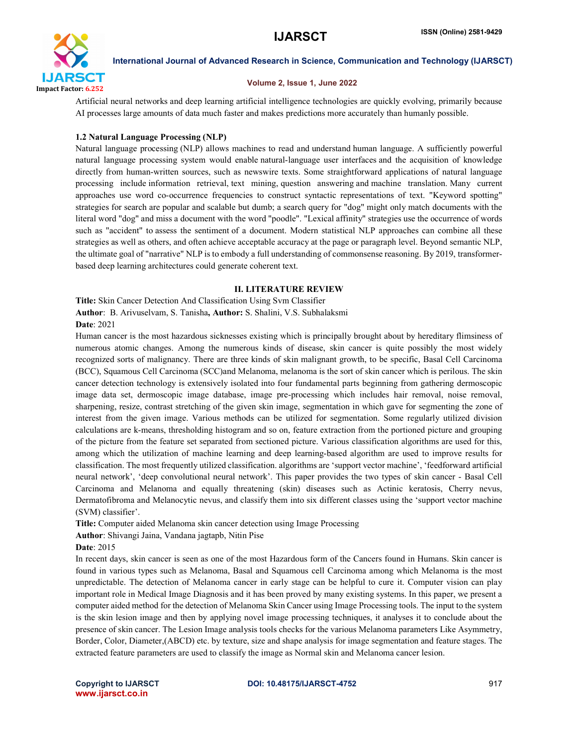

#### Volume 2, Issue 1, June 2022

Artificial neural networks and deep learning artificial intelligence technologies are quickly evolving, primarily because AI processes large amounts of data much faster and makes predictions more accurately than humanly possible.

#### 1.2 Natural Language Processing (NLP)

Natural language processing (NLP) allows machines to read and understand human language. A sufficiently powerful natural language processing system would enable natural-language user interfaces and the acquisition of knowledge directly from human-written sources, such as newswire texts. Some straightforward applications of natural language processing include information retrieval, text mining, question answering and machine translation. Many current approaches use word co-occurrence frequencies to construct syntactic representations of text. "Keyword spotting" strategies for search are popular and scalable but dumb; a search query for "dog" might only match documents with the literal word "dog" and miss a document with the word "poodle". "Lexical affinity" strategies use the occurrence of words such as "accident" to assess the sentiment of a document. Modern statistical NLP approaches can combine all these strategies as well as others, and often achieve acceptable accuracy at the page or paragraph level. Beyond semantic NLP, the ultimate goal of "narrative" NLP is to embody a full understanding of commonsense reasoning. By 2019, transformerbased deep learning architectures could generate coherent text.

#### II. LITERATURE REVIEW

Title: Skin Cancer Detection And Classification Using Svm Classifier Author: B. Arivuselvam, S. Tanisha, Author: S. Shalini, V.S. Subhalaksmi Date: 2021

Human cancer is the most hazardous sicknesses existing which is principally brought about by hereditary flimsiness of numerous atomic changes. Among the numerous kinds of disease, skin cancer is quite possibly the most widely recognized sorts of malignancy. There are three kinds of skin malignant growth, to be specific, Basal Cell Carcinoma (BCC), Squamous Cell Carcinoma (SCC)and Melanoma, melanoma is the sort of skin cancer which is perilous. The skin cancer detection technology is extensively isolated into four fundamental parts beginning from gathering dermoscopic image data set, dermoscopic image database, image pre-processing which includes hair removal, noise removal, sharpening, resize, contrast stretching of the given skin image, segmentation in which gave for segmenting the zone of interest from the given image. Various methods can be utilized for segmentation. Some regularly utilized division calculations are k-means, thresholding histogram and so on, feature extraction from the portioned picture and grouping of the picture from the feature set separated from sectioned picture. Various classification algorithms are used for this, among which the utilization of machine learning and deep learning-based algorithm are used to improve results for classification. The most frequently utilized classification. algorithms are 'support vector machine', 'feedforward artificial neural network', 'deep convolutional neural network'. This paper provides the two types of skin cancer - Basal Cell Carcinoma and Melanoma and equally threatening (skin) diseases such as Actinic keratosis, Cherry nevus, Dermatofibroma and Melanocytic nevus, and classify them into six different classes using the 'support vector machine (SVM) classifier'.

Title: Computer aided Melanoma skin cancer detection using Image Processing

Author: Shivangi Jaina, Vandana jagtapb, Nitin Pise

Date: 2015

In recent days, skin cancer is seen as one of the most Hazardous form of the Cancers found in Humans. Skin cancer is found in various types such as Melanoma, Basal and Squamous cell Carcinoma among which Melanoma is the most unpredictable. The detection of Melanoma cancer in early stage can be helpful to cure it. Computer vision can play important role in Medical Image Diagnosis and it has been proved by many existing systems. In this paper, we present a computer aided method for the detection of Melanoma Skin Cancer using Image Processing tools. The input to the system is the skin lesion image and then by applying novel image processing techniques, it analyses it to conclude about the presence of skin cancer. The Lesion Image analysis tools checks for the various Melanoma parameters Like Asymmetry, Border, Color, Diameter, (ABCD) etc. by texture, size and shape analysis for image segmentation and feature stages. The extracted feature parameters are used to classify the image as Normal skin and Melanoma cancer lesion.

www.ijarsct.co.in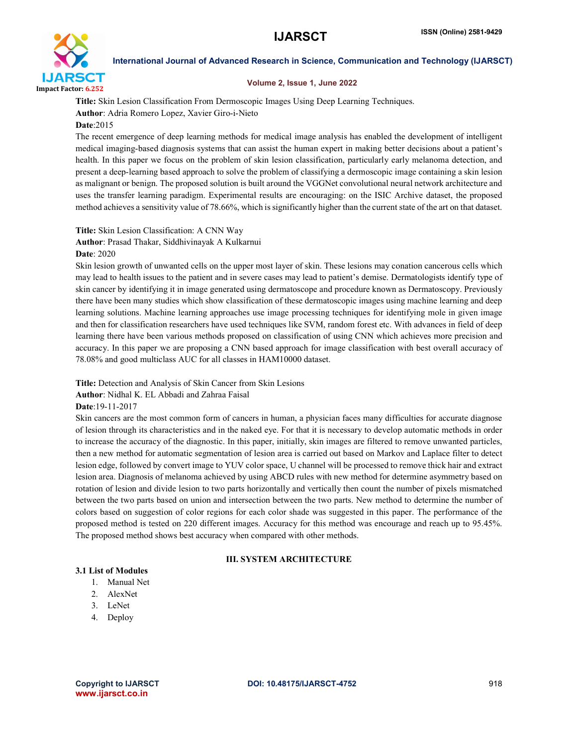

#### Volume 2, Issue 1, June 2022

Title: Skin Lesion Classification From Dermoscopic Images Using Deep Learning Techniques. Author: Adria Romero Lopez, Xavier Giro-i-Nieto Date:2015

The recent emergence of deep learning methods for medical image analysis has enabled the development of intelligent medical imaging-based diagnosis systems that can assist the human expert in making better decisions about a patient's health. In this paper we focus on the problem of skin lesion classification, particularly early melanoma detection, and present a deep-learning based approach to solve the problem of classifying a dermoscopic image containing a skin lesion as malignant or benign. The proposed solution is built around the VGGNet convolutional neural network architecture and uses the transfer learning paradigm. Experimental results are encouraging: on the ISIC Archive dataset, the proposed method achieves a sensitivity value of 78.66%, which is significantly higher than the current state of the art on that dataset.

Title: Skin Lesion Classification: A CNN Way

Author: Prasad Thakar, Siddhivinayak A Kulkarnui

#### Date: 2020

Skin lesion growth of unwanted cells on the upper most layer of skin. These lesions may conation cancerous cells which may lead to health issues to the patient and in severe cases may lead to patient's demise. Dermatologists identify type of skin cancer by identifying it in image generated using dermatoscope and procedure known as Dermatoscopy. Previously there have been many studies which show classification of these dermatoscopic images using machine learning and deep learning solutions. Machine learning approaches use image processing techniques for identifying mole in given image and then for classification researchers have used techniques like SVM, random forest etc. With advances in field of deep learning there have been various methods proposed on classification of using CNN which achieves more precision and accuracy. In this paper we are proposing a CNN based approach for image classification with best overall accuracy of 78.08% and good multiclass AUC for all classes in HAM10000 dataset.

Title: Detection and Analysis of Skin Cancer from Skin Lesions

Author: Nidhal K. EL Abbadi and Zahraa Faisal

Date:19-11-2017

Skin cancers are the most common form of cancers in human, a physician faces many difficulties for accurate diagnose of lesion through its characteristics and in the naked eye. For that it is necessary to develop automatic methods in order to increase the accuracy of the diagnostic. In this paper, initially, skin images are filtered to remove unwanted particles, then a new method for automatic segmentation of lesion area is carried out based on Markov and Laplace filter to detect lesion edge, followed by convert image to YUV color space, U channel will be processed to remove thick hair and extract lesion area. Diagnosis of melanoma achieved by using ABCD rules with new method for determine asymmetry based on rotation of lesion and divide lesion to two parts horizontally and vertically then count the number of pixels mismatched between the two parts based on union and intersection between the two parts. New method to determine the number of colors based on suggestion of color regions for each color shade was suggested in this paper. The performance of the proposed method is tested on 220 different images. Accuracy for this method was encourage and reach up to 95.45%. The proposed method shows best accuracy when compared with other methods.

#### III. SYSTEM ARCHITECTURE

### 3.1 List of Modules

- 1. Manual Net
- 2. AlexNet
- 3. LeNet
- 4. Deploy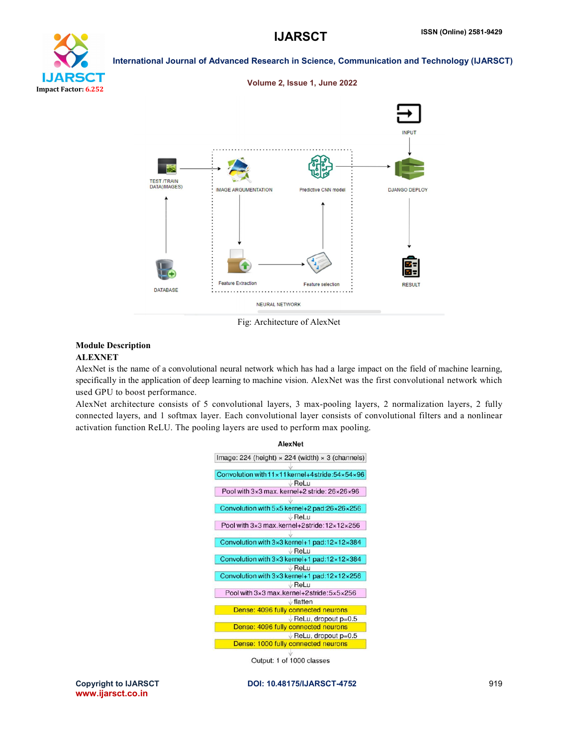



Fig: Architecture of AlexNet

## Module Description

#### ALEXNET

AlexNet is the name of a convolutional neural network which has had a large impact on the field of machine learning, specifically in the application of deep learning to machine vision. AlexNet was the first convolutional network which used GPU to boost performance.

AlexNet architecture consists of 5 convolutional layers, 3 max-pooling layers, 2 normalization layers, 2 fully connected layers, and 1 softmax layer. Each convolutional layer consists of convolutional filters and a nonlinear activation function ReLU. The pooling layers are used to perform max pooling.



www.ijarsct.co.in

Copyright to IJARSCT **DOI: 10.48175/IJARSCT-4752** 919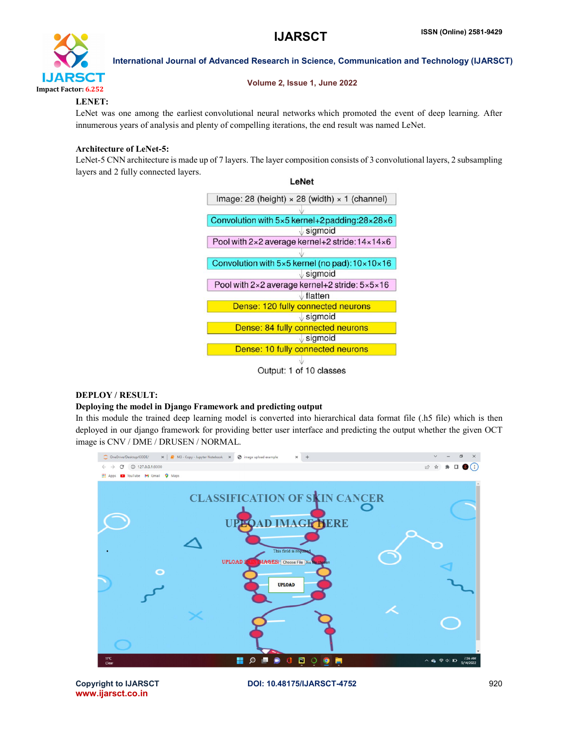

Volume 2, Issue 1, June 2022

#### LENET:

LeNet was one among the earliest convolutional neural networks which promoted the event of deep learning. After innumerous years of analysis and plenty of compelling iterations, the end result was named LeNet.

### Architecture of LeNet-5:

LeNet-5 CNN architecture is made up of 7 layers. The layer composition consists of 3 convolutional layers, 2 subsampling layers and 2 fully connected layers.

LeNet



#### DEPLOY / RESULT:

#### Deploying the model in Django Framework and predicting output

In this module the trained deep learning model is converted into hierarchical data format file (.h5 file) which is then deployed in our django framework for providing better user interface and predicting the output whether the given OCT image is CNV / DME / DRUSEN / NORMAL.



www.ijarsct.co.in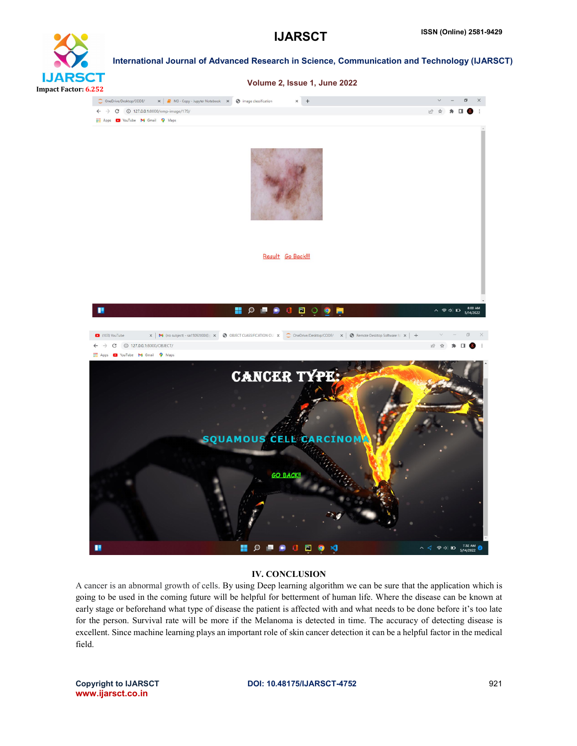



#### IV. CONCLUSION

A cancer is an abnormal growth of cells. By using Deep learning algorithm we can be sure that the application which is going to be used in the coming future will be helpful for betterment of human life. Where the disease can be known at early stage or beforehand what type of disease the patient is affected with and what needs to be done before it's too late for the person. Survival rate will be more if the Melanoma is detected in time. The accuracy of detecting disease is excellent. Since machine learning plays an important role of skin cancer detection it can be a helpful factor in the medical field.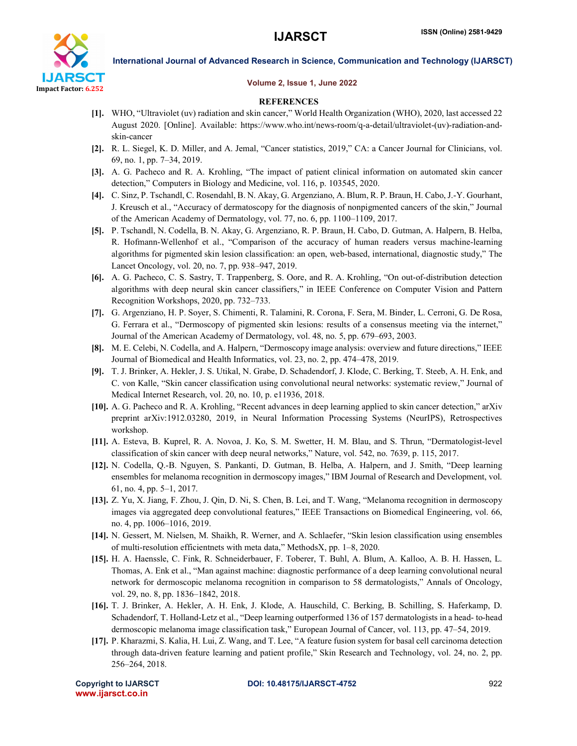

#### Volume 2, Issue 1, June 2022

#### **REFERENCES**

- [1]. WHO, "Ultraviolet (uv) radiation and skin cancer," World Health Organization (WHO), 2020, last accessed 22 August 2020. [Online]. Available: https://www.who.int/news-room/q-a-detail/ultraviolet-(uv)-radiation-andskin-cancer
- [2]. R. L. Siegel, K. D. Miller, and A. Jemal, "Cancer statistics, 2019," CA: a Cancer Journal for Clinicians, vol. 69, no. 1, pp. 7–34, 2019.
- [3]. A. G. Pacheco and R. A. Krohling, "The impact of patient clinical information on automated skin cancer detection," Computers in Biology and Medicine, vol. 116, p. 103545, 2020.
- [4]. C. Sinz, P. Tschandl, C. Rosendahl, B. N. Akay, G. Argenziano, A. Blum, R. P. Braun, H. Cabo, J.-Y. Gourhant, J. Kreusch et al., "Accuracy of dermatoscopy for the diagnosis of nonpigmented cancers of the skin," Journal of the American Academy of Dermatology, vol. 77, no. 6, pp. 1100–1109, 2017.
- [5]. P. Tschandl, N. Codella, B. N. Akay, G. Argenziano, R. P. Braun, H. Cabo, D. Gutman, A. Halpern, B. Helba, R. Hofmann-Wellenhof et al., "Comparison of the accuracy of human readers versus machine-learning algorithms for pigmented skin lesion classification: an open, web-based, international, diagnostic study," The Lancet Oncology, vol. 20, no. 7, pp. 938–947, 2019.
- [6]. A. G. Pacheco, C. S. Sastry, T. Trappenberg, S. Oore, and R. A. Krohling, "On out-of-distribution detection algorithms with deep neural skin cancer classifiers," in IEEE Conference on Computer Vision and Pattern Recognition Workshops, 2020, pp. 732–733.
- [7]. G. Argenziano, H. P. Soyer, S. Chimenti, R. Talamini, R. Corona, F. Sera, M. Binder, L. Cerroni, G. De Rosa, G. Ferrara et al., "Dermoscopy of pigmented skin lesions: results of a consensus meeting via the internet," Journal of the American Academy of Dermatology, vol. 48, no. 5, pp. 679–693, 2003.
- [8]. M. E. Celebi, N. Codella, and A. Halpern, "Dermoscopy image analysis: overview and future directions," IEEE Journal of Biomedical and Health Informatics, vol. 23, no. 2, pp. 474–478, 2019.
- [9]. T. J. Brinker, A. Hekler, J. S. Utikal, N. Grabe, D. Schadendorf, J. Klode, C. Berking, T. Steeb, A. H. Enk, and C. von Kalle, "Skin cancer classification using convolutional neural networks: systematic review," Journal of Medical Internet Research, vol. 20, no. 10, p. e11936, 2018.
- [10]. A. G. Pacheco and R. A. Krohling, "Recent advances in deep learning applied to skin cancer detection," arXiv preprint arXiv:1912.03280, 2019, in Neural Information Processing Systems (NeurIPS), Retrospectives workshop.
- [11]. A. Esteva, B. Kuprel, R. A. Novoa, J. Ko, S. M. Swetter, H. M. Blau, and S. Thrun, "Dermatologist-level classification of skin cancer with deep neural networks," Nature, vol. 542, no. 7639, p. 115, 2017.
- [12]. N. Codella, Q.-B. Nguyen, S. Pankanti, D. Gutman, B. Helba, A. Halpern, and J. Smith, "Deep learning ensembles for melanoma recognition in dermoscopy images," IBM Journal of Research and Development, vol. 61, no. 4, pp. 5–1, 2017.
- [13]. Z. Yu, X. Jiang, F. Zhou, J. Qin, D. Ni, S. Chen, B. Lei, and T. Wang, "Melanoma recognition in dermoscopy images via aggregated deep convolutional features," IEEE Transactions on Biomedical Engineering, vol. 66, no. 4, pp. 1006–1016, 2019.
- [14]. N. Gessert, M. Nielsen, M. Shaikh, R. Werner, and A. Schlaefer, "Skin lesion classification using ensembles of multi-resolution efficientnets with meta data," MethodsX, pp. 1–8, 2020.
- [15]. H. A. Haenssle, C. Fink, R. Schneiderbauer, F. Toberer, T. Buhl, A. Blum, A. Kalloo, A. B. H. Hassen, L. Thomas, A. Enk et al., "Man against machine: diagnostic performance of a deep learning convolutional neural network for dermoscopic melanoma recognition in comparison to 58 dermatologists," Annals of Oncology, vol. 29, no. 8, pp. 1836–1842, 2018.
- [16]. T. J. Brinker, A. Hekler, A. H. Enk, J. Klode, A. Hauschild, C. Berking, B. Schilling, S. Haferkamp, D. Schadendorf, T. Holland-Letz et al., "Deep learning outperformed 136 of 157 dermatologists in a head- to-head dermoscopic melanoma image classification task," European Journal of Cancer, vol. 113, pp. 47–54, 2019.
- [17]. P. Kharazmi, S. Kalia, H. Lui, Z. Wang, and T. Lee, "A feature fusion system for basal cell carcinoma detection through data-driven feature learning and patient profile," Skin Research and Technology, vol. 24, no. 2, pp. 256–264, 2018.